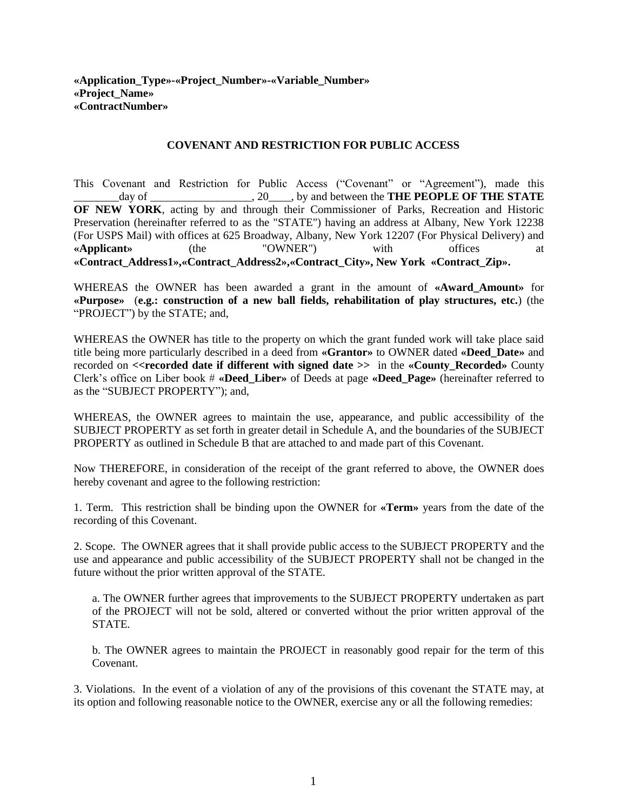#### **COVENANT AND RESTRICTION FOR PUBLIC ACCESS**

This Covenant and Restriction for Public Access ("Covenant" or "Agreement"), made this \_\_\_\_\_\_\_\_day of \_\_\_\_\_\_\_\_\_\_\_\_\_\_\_\_\_\_, 20\_\_\_\_, by and between the **THE PEOPLE OF THE STATE OF NEW YORK**, acting by and through their Commissioner of Parks, Recreation and Historic Preservation (hereinafter referred to as the "STATE") having an address at Albany, New York 12238 (For USPS Mail) with offices at 625 Broadway, Albany, New York 12207 (For Physical Delivery) and **«Applicant»** (the "OWNER") with offices at **«Contract\_Address1»,«Contract\_Address2»,«Contract\_City», New York «Contract\_Zip».**

WHEREAS the OWNER has been awarded a grant in the amount of **«Award\_Amount»** for **«Purpose»** (**e.g.: construction of a new ball fields, rehabilitation of play structures, etc.**) (the "PROJECT") by the STATE; and,

WHEREAS the OWNER has title to the property on which the grant funded work will take place said title being more particularly described in a deed from **«Grantor»** to OWNER dated **«Deed\_Date»** and recorded on **<<recorded date if different with signed date >>** in the **«County\_Recorded»** County Clerk's office on Liber book # **«Deed\_Liber»** of Deeds at page **«Deed\_Page»** (hereinafter referred to as the "SUBJECT PROPERTY"); and,

WHEREAS, the OWNER agrees to maintain the use, appearance, and public accessibility of the SUBJECT PROPERTY as set forth in greater detail in Schedule A, and the boundaries of the SUBJECT PROPERTY as outlined in Schedule B that are attached to and made part of this Covenant.

Now THEREFORE, in consideration of the receipt of the grant referred to above, the OWNER does hereby covenant and agree to the following restriction:

1. Term. This restriction shall be binding upon the OWNER for **«Term»** years from the date of the recording of this Covenant.

2. Scope. The OWNER agrees that it shall provide public access to the SUBJECT PROPERTY and the use and appearance and public accessibility of the SUBJECT PROPERTY shall not be changed in the future without the prior written approval of the STATE.

a. The OWNER further agrees that improvements to the SUBJECT PROPERTY undertaken as part of the PROJECT will not be sold, altered or converted without the prior written approval of the STATE.

b. The OWNER agrees to maintain the PROJECT in reasonably good repair for the term of this **Covenant** 

3. Violations. In the event of a violation of any of the provisions of this covenant the STATE may, at its option and following reasonable notice to the OWNER, exercise any or all the following remedies: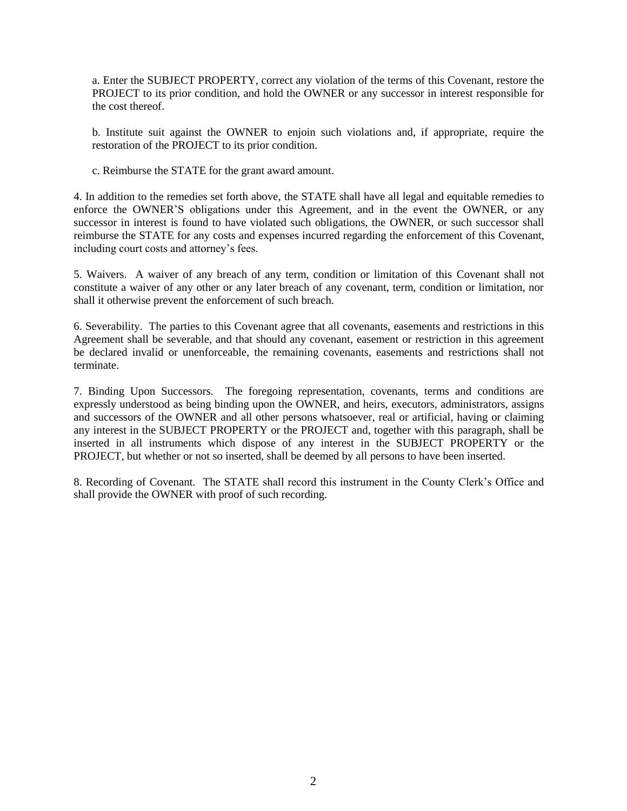a. Enter the SUBJECT PROPERTY, correct any violation of the terms of this Covenant, restore the PROJECT to its prior condition, and hold the OWNER or any successor in interest responsible for the cost thereof.

b. Institute suit against the OWNER to enjoin such violations and, if appropriate, require the restoration of the PROJECT to its prior condition.

c. Reimburse the STATE for the grant award amount.

4. In addition to the remedies set forth above, the STATE shall have all legal and equitable remedies to enforce the OWNER'S obligations under this Agreement, and in the event the OWNER, or any successor in interest is found to have violated such obligations, the OWNER, or such successor shall reimburse the STATE for any costs and expenses incurred regarding the enforcement of this Covenant, including court costs and attorney's fees.

5. Waivers. A waiver of any breach of any term, condition or limitation of this Covenant shall not constitute a waiver of any other or any later breach of any covenant, term, condition or limitation, nor shall it otherwise prevent the enforcement of such breach.

6. Severability. The parties to this Covenant agree that all covenants, easements and restrictions in this Agreement shall be severable, and that should any covenant, easement or restriction in this agreement be declared invalid or unenforceable, the remaining covenants, easements and restrictions shall not terminate.

7. Binding Upon Successors. The foregoing representation, covenants, terms and conditions are expressly understood as being binding upon the OWNER, and heirs, executors, administrators, assigns and successors of the OWNER and all other persons whatsoever, real or artificial, having or claiming any interest in the SUBJECT PROPERTY or the PROJECT and, together with this paragraph, shall be inserted in all instruments which dispose of any interest in the SUBJECT PROPERTY or the PROJECT, but whether or not so inserted, shall be deemed by all persons to have been inserted.

8. Recording of Covenant. The STATE shall record this instrument in the County Clerk's Office and shall provide the OWNER with proof of such recording.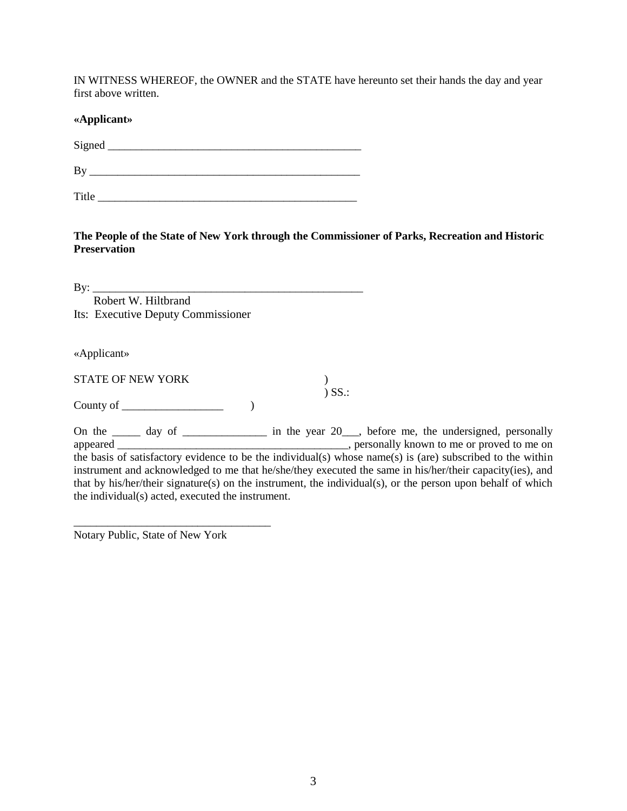IN WITNESS WHEREOF, the OWNER and the STATE have hereunto set their hands the day and year first above written.

### **«Applicant»**

 $Signal$   $\qquad \qquad$ 

 $\rm\,By$ 

Title <u>the set of the set of the set of the set of the set of the set of the set of the set of the set of the set of the set of the set of the set of the set of the set of the set of the set of the set of the set of the se</u>

**The People of the State of New York through the Commissioner of Parks, Recreation and Historic Preservation**

 $\mathbf{By:}$  Robert W. Hiltbrand Its: Executive Deputy Commissioner

«Applicant»

STATE OF NEW YORK (2002) ) SS.:

County of \_\_\_\_\_\_\_\_\_\_\_\_\_\_\_\_\_\_ )

On the  $\frac{1}{\sqrt{2}}$  day of  $\frac{1}{\sqrt{2}}$  in the year 20, before me, the undersigned, personally appeared \_\_\_\_\_\_\_\_\_\_\_\_\_\_\_\_\_\_\_\_\_\_\_\_\_\_\_\_\_\_\_\_\_\_\_\_\_\_\_\_\_, personally known to me or proved to me on the basis of satisfactory evidence to be the individual(s) whose name(s) is (are) subscribed to the within instrument and acknowledged to me that he/she/they executed the same in his/her/their capacity(ies), and that by his/her/their signature(s) on the instrument, the individual(s), or the person upon behalf of which the individual(s) acted, executed the instrument.

Notary Public, State of New York

\_\_\_\_\_\_\_\_\_\_\_\_\_\_\_\_\_\_\_\_\_\_\_\_\_\_\_\_\_\_\_\_\_\_\_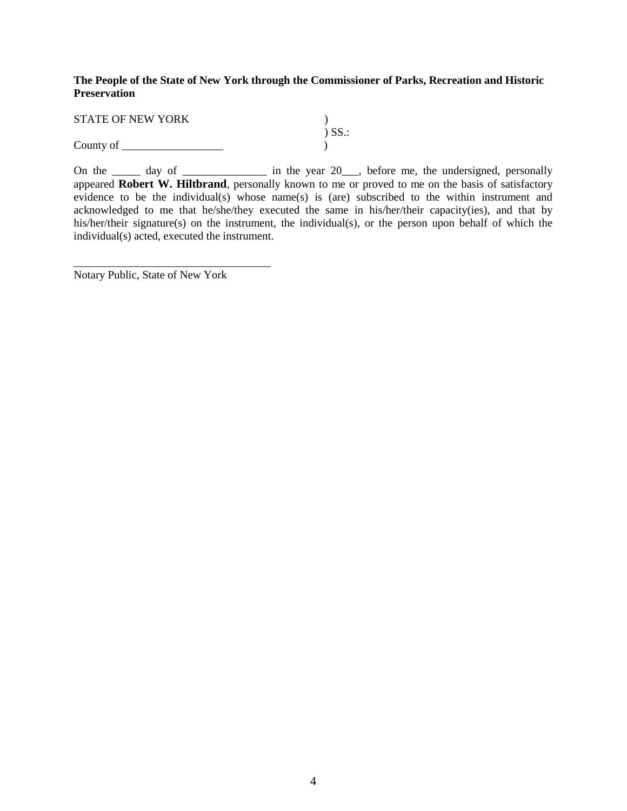#### **The People of the State of New York through the Commissioner of Parks, Recreation and Historic Preservation**

| <b>STATE OF NEW YORK</b> |             |
|--------------------------|-------------|
|                          | $\sum$ SS.: |
| County of                |             |

On the  $\frac{1}{\sqrt{2}}$  day of  $\frac{1}{\sqrt{2}}$  in the year 20, before me, the undersigned, personally appeared **Robert W. Hiltbrand**, personally known to me or proved to me on the basis of satisfactory evidence to be the individual(s) whose name(s) is (are) subscribed to the within instrument and acknowledged to me that he/she/they executed the same in his/her/their capacity(ies), and that by his/her/their signature(s) on the instrument, the individual(s), or the person upon behalf of which the individual(s) acted, executed the instrument.

Notary Public, State of New York

\_\_\_\_\_\_\_\_\_\_\_\_\_\_\_\_\_\_\_\_\_\_\_\_\_\_\_\_\_\_\_\_\_\_\_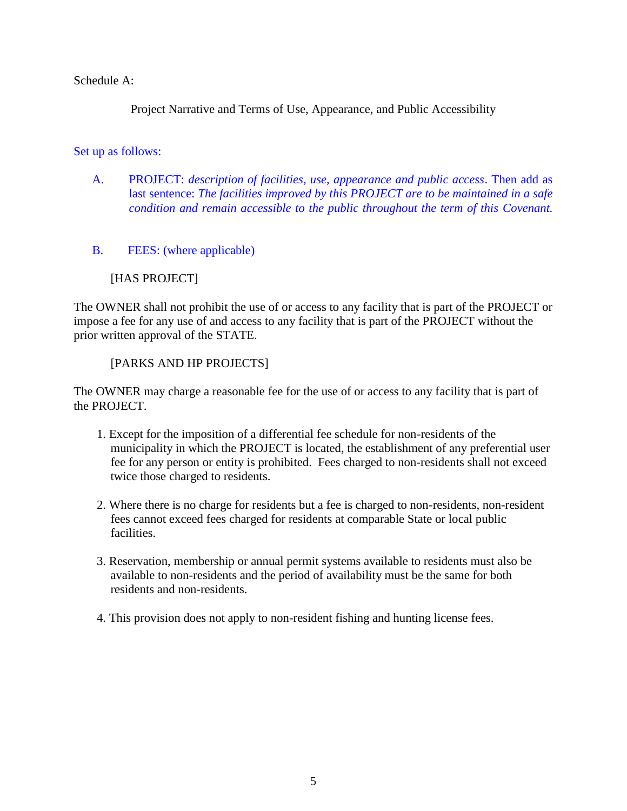Schedule A:

Project Narrative and Terms of Use, Appearance, and Public Accessibility

Set up as follows:

- A. PROJECT: *description of facilities, use, appearance and public access*. Then add as last sentence: *The facilities improved by this PROJECT are to be maintained in a safe condition and remain accessible to the public throughout the term of this Covenant.*
- B. FEES: (where applicable)

# [HAS PROJECT]

The OWNER shall not prohibit the use of or access to any facility that is part of the PROJECT or impose a fee for any use of and access to any facility that is part of the PROJECT without the prior written approval of the STATE.

## [PARKS AND HP PROJECTS]

The OWNER may charge a reasonable fee for the use of or access to any facility that is part of the PROJECT.

- 1. Except for the imposition of a differential fee schedule for non-residents of the municipality in which the PROJECT is located, the establishment of any preferential user fee for any person or entity is prohibited. Fees charged to non-residents shall not exceed twice those charged to residents.
- 2. Where there is no charge for residents but a fee is charged to non-residents, non-resident fees cannot exceed fees charged for residents at comparable State or local public facilities.
- 3. Reservation, membership or annual permit systems available to residents must also be available to non-residents and the period of availability must be the same for both residents and non-residents.
- 4. This provision does not apply to non-resident fishing and hunting license fees.